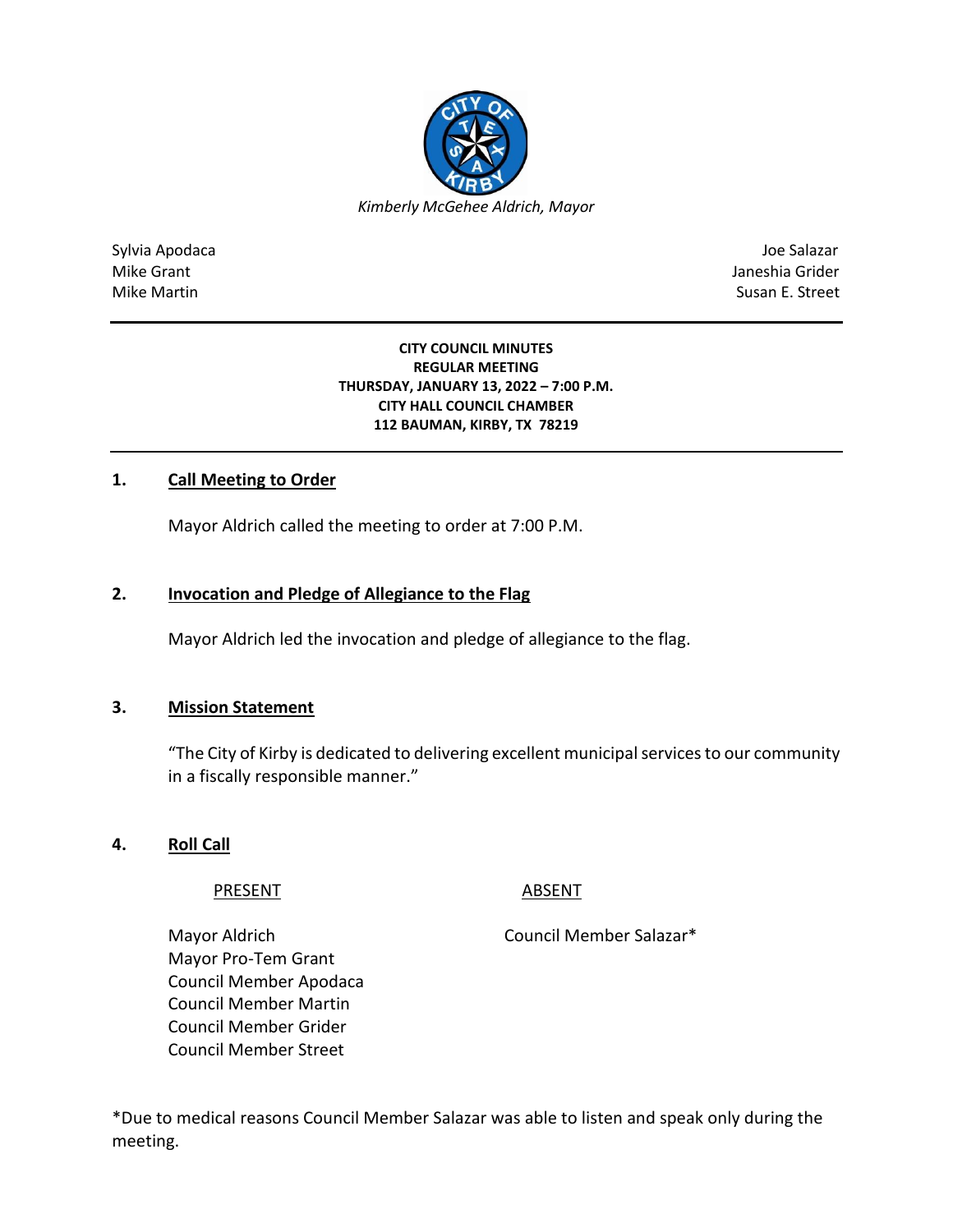

Sylvia Apodaca Joe Salazar Joe Salazar Joe Salazar Joe Salazar Joe Salazar Joe Salazar Joe Salazar Joe Salazar Mike Grant **Janeshia Grider** Mike Grant Janeshia Grider **Janeshia Grider** Mike Grant Janeshia Grider Mike Martin Susan E. Street

#### **CITY COUNCIL MINUTES REGULAR MEETING THURSDAY, JANUARY 13, 2022 – 7:00 P.M. CITY HALL COUNCIL CHAMBER 112 BAUMAN, KIRBY, TX 78219**

## **1. Call Meeting to Order**

Mayor Aldrich called the meeting to order at 7:00 P.M.

## **2. Invocation and Pledge of Allegiance to the Flag**

Mayor Aldrich led the invocation and pledge of allegiance to the flag.

#### **3. Mission Statement**

"The City of Kirby is dedicated to delivering excellent municipal services to our community in a fiscally responsible manner."

**4. Roll Call**

#### PRESENT ABSENT

Mayor Aldrich Council Member Salazar\*

Mayor Pro-Tem Grant Council Member Apodaca Council Member Martin Council Member Grider Council Member Street

\*Due to medical reasons Council Member Salazar was able to listen and speak only during the meeting.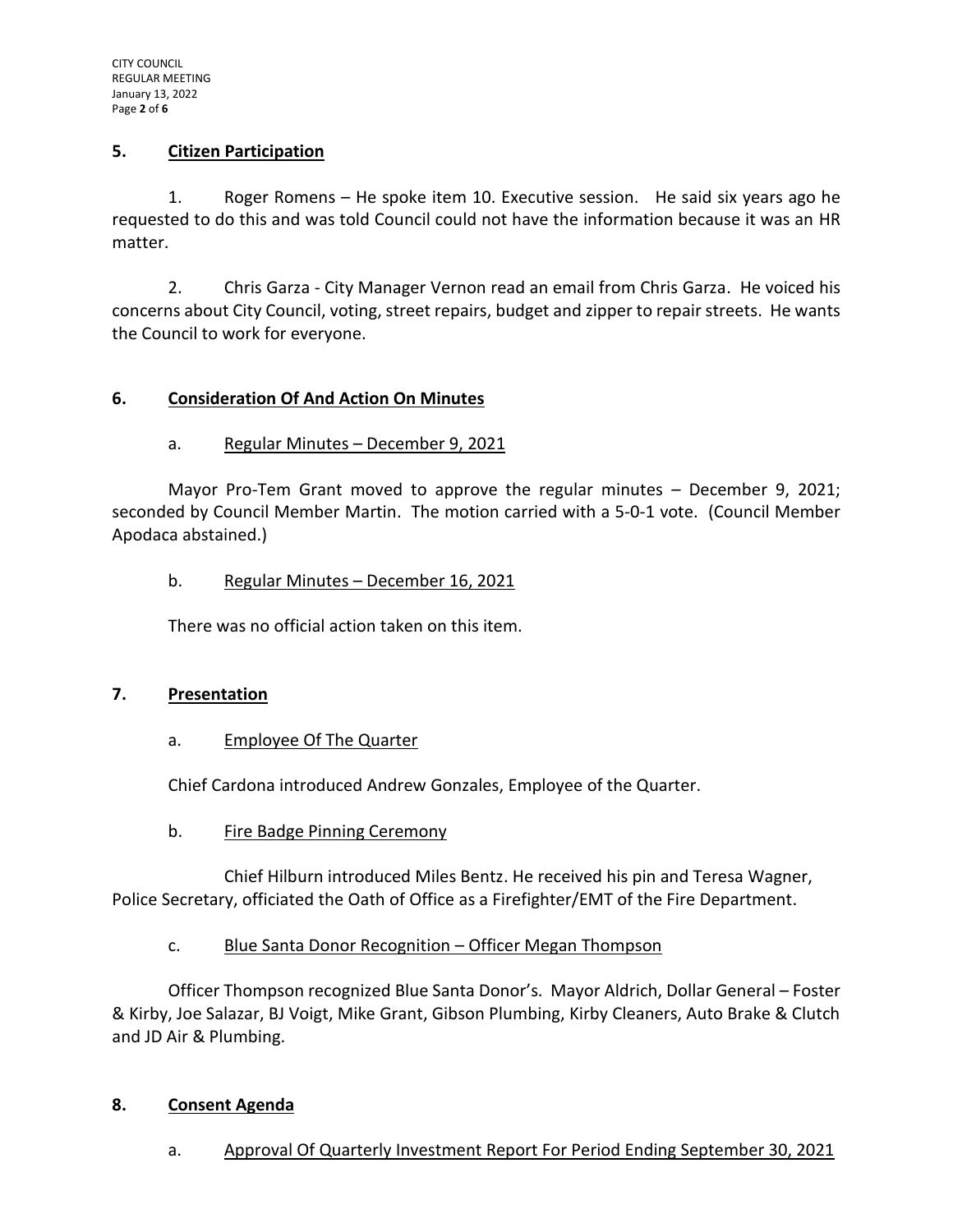#### **5. Citizen Participation**

1. Roger Romens – He spoke item 10. Executive session. He said six years ago he requested to do this and was told Council could not have the information because it was an HR matter.

2. Chris Garza - City Manager Vernon read an email from Chris Garza. He voiced his concerns about City Council, voting, street repairs, budget and zipper to repair streets. He wants the Council to work for everyone.

## **6. Consideration Of And Action On Minutes**

## a. Regular Minutes - December 9, 2021

Mayor Pro-Tem Grant moved to approve the regular minutes – December 9, 2021; seconded by Council Member Martin. The motion carried with a 5-0-1 vote. (Council Member Apodaca abstained.)

#### b. Regular Minutes - December 16, 2021

There was no official action taken on this item.

#### **7. Presentation**

## a. Employee Of The Quarter

Chief Cardona introduced Andrew Gonzales, Employee of the Quarter.

b. Fire Badge Pinning Ceremony

Chief Hilburn introduced Miles Bentz. He received his pin and Teresa Wagner, Police Secretary, officiated the Oath of Office as a Firefighter/EMT of the Fire Department.

## c. Blue Santa Donor Recognition – Officer Megan Thompson

Officer Thompson recognized Blue Santa Donor's. Mayor Aldrich, Dollar General – Foster & Kirby, Joe Salazar, BJ Voigt, Mike Grant, Gibson Plumbing, Kirby Cleaners, Auto Brake & Clutch and JD Air & Plumbing.

#### **8. Consent Agenda**

a. Approval Of Quarterly Investment Report For Period Ending September 30, 2021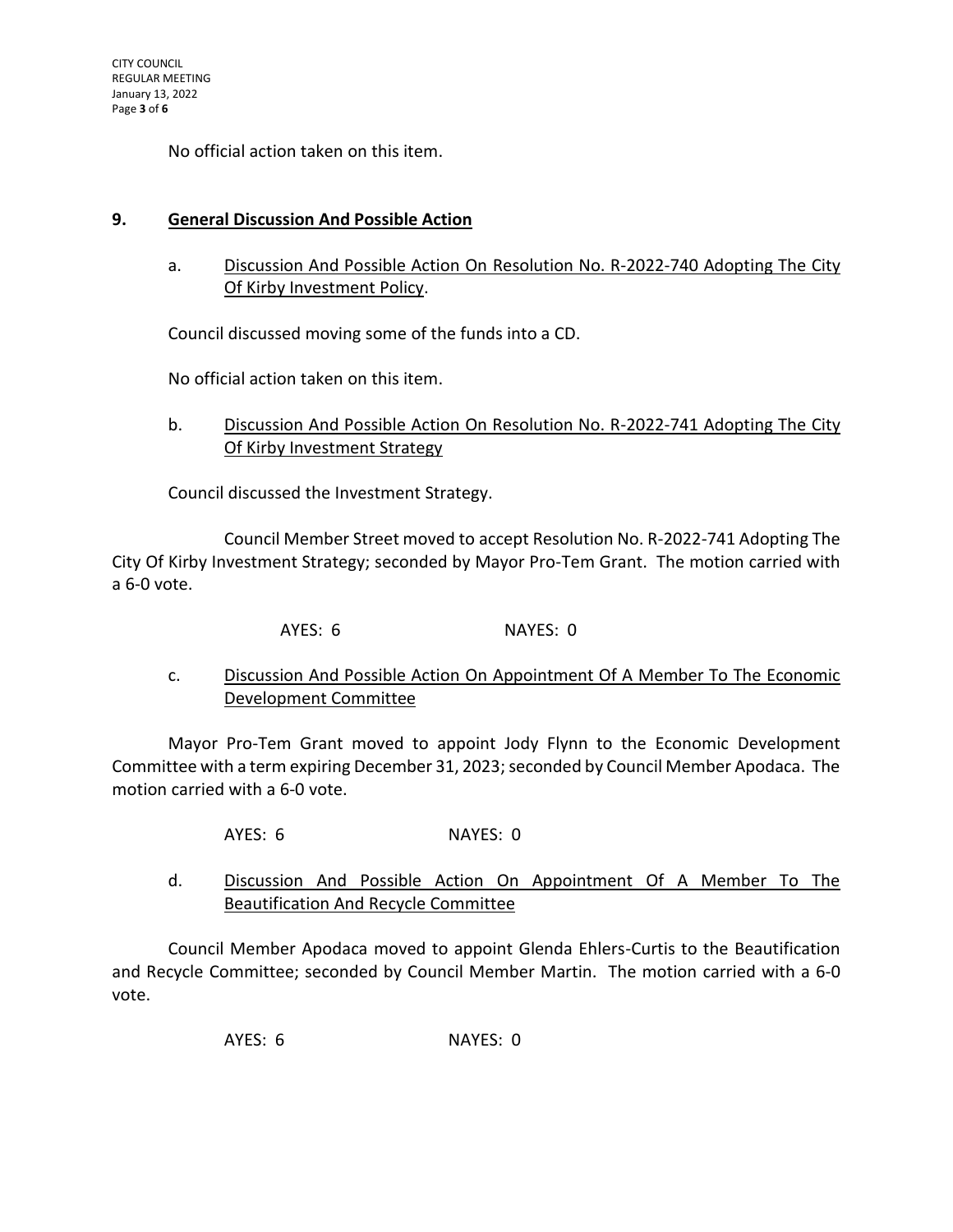No official action taken on this item.

#### **9. General Discussion And Possible Action**

a. Discussion And Possible Action On Resolution No. R-2022-740 Adopting The City Of Kirby Investment Policy.

Council discussed moving some of the funds into a CD.

No official action taken on this item.

b. Discussion And Possible Action On Resolution No. R-2022-741 Adopting The City Of Kirby Investment Strategy

Council discussed the Investment Strategy.

Council Member Street moved to accept Resolution No. R-2022-741 Adopting The City Of Kirby Investment Strategy; seconded by Mayor Pro-Tem Grant. The motion carried with a 6-0 vote.

AYES: 6 NAYES: 0

c. Discussion And Possible Action On Appointment Of A Member To The Economic Development Committee

Mayor Pro-Tem Grant moved to appoint Jody Flynn to the Economic Development Committee with a term expiring December 31, 2023; seconded by Council Member Apodaca. The motion carried with a 6-0 vote.

AYES: 6 NAYES: 0

d. Discussion And Possible Action On Appointment Of A Member To The Beautification And Recycle Committee

Council Member Apodaca moved to appoint Glenda Ehlers-Curtis to the Beautification and Recycle Committee; seconded by Council Member Martin. The motion carried with a 6-0 vote.

AYES: 6 NAYES: 0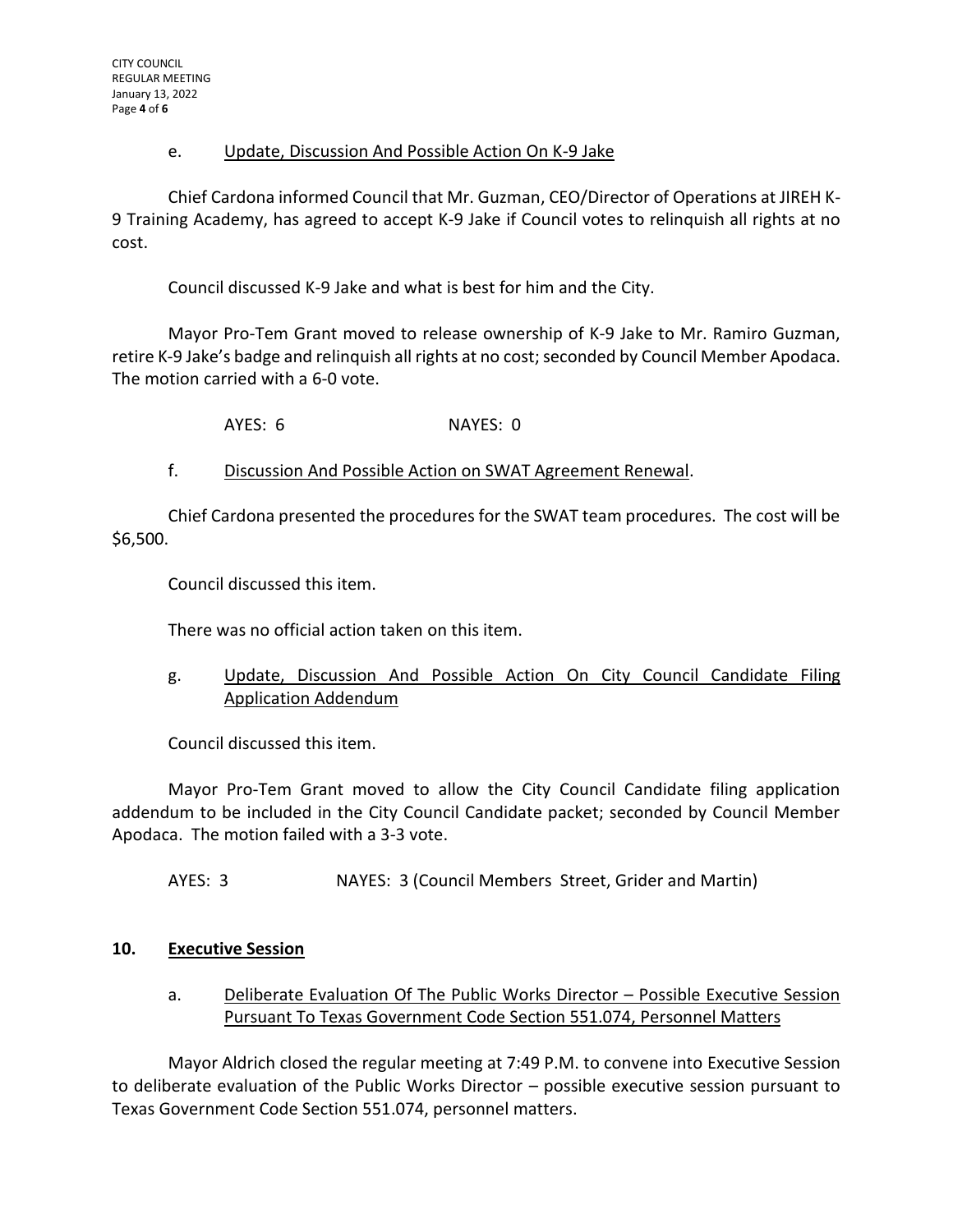#### e. Update, Discussion And Possible Action On K-9 Jake

Chief Cardona informed Council that Mr. Guzman, CEO/Director of Operations at JIREH K-9 Training Academy, has agreed to accept K-9 Jake if Council votes to relinquish all rights at no cost.

Council discussed K-9 Jake and what is best for him and the City.

Mayor Pro-Tem Grant moved to release ownership of K-9 Jake to Mr. Ramiro Guzman, retire K-9 Jake's badge and relinquish all rights at no cost; seconded by Council Member Apodaca. The motion carried with a 6-0 vote.

AYES: 6 NAYES: 0

f. Discussion And Possible Action on SWAT Agreement Renewal.

Chief Cardona presented the procedures for the SWAT team procedures. The cost will be \$6,500.

Council discussed this item.

There was no official action taken on this item.

g. Update, Discussion And Possible Action On City Council Candidate Filing Application Addendum

Council discussed this item.

Mayor Pro-Tem Grant moved to allow the City Council Candidate filing application addendum to be included in the City Council Candidate packet; seconded by Council Member Apodaca. The motion failed with a 3-3 vote.

AYES: 3 NAYES: 3 (Council Members Street, Grider and Martin)

## **10. Executive Session**

a. Deliberate Evaluation Of The Public Works Director – Possible Executive Session Pursuant To Texas Government Code Section 551.074, Personnel Matters

Mayor Aldrich closed the regular meeting at 7:49 P.M. to convene into Executive Session to deliberate evaluation of the Public Works Director – possible executive session pursuant to Texas Government Code Section 551.074, personnel matters.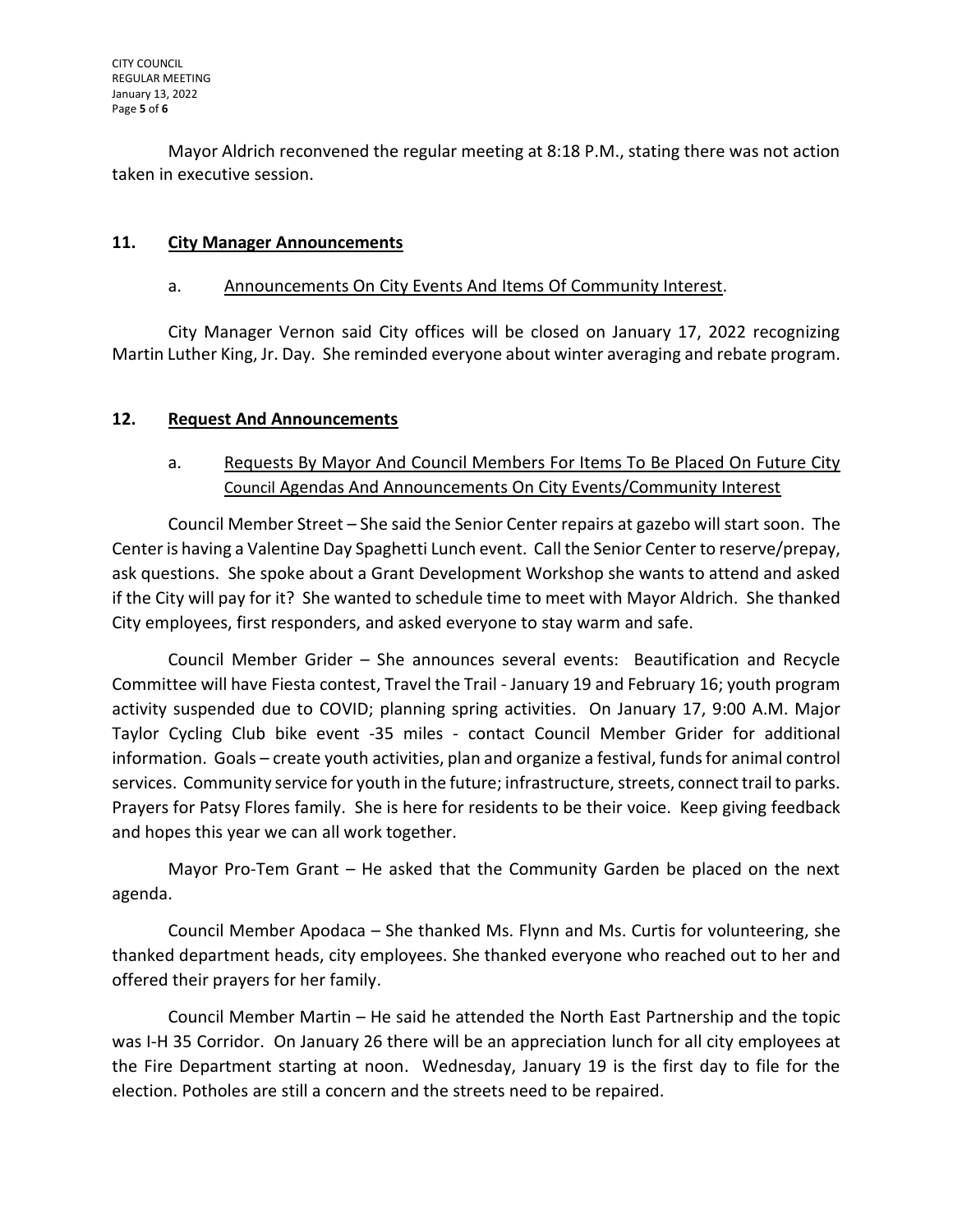Mayor Aldrich reconvened the regular meeting at 8:18 P.M., stating there was not action taken in executive session.

### **11. City Manager Announcements**

#### a. Announcements On City Events And Items Of Community Interest.

City Manager Vernon said City offices will be closed on January 17, 2022 recognizing Martin Luther King, Jr. Day. She reminded everyone about winter averaging and rebate program.

#### **12. Request And Announcements**

# a. Requests By Mayor And Council Members For Items To Be Placed On Future City Council Agendas And Announcements On City Events/Community Interest

Council Member Street – She said the Senior Center repairs at gazebo will start soon. The Center is having a Valentine Day Spaghetti Lunch event. Call the Senior Center to reserve/prepay, ask questions. She spoke about a Grant Development Workshop she wants to attend and asked if the City will pay for it? She wanted to schedule time to meet with Mayor Aldrich. She thanked City employees, first responders, and asked everyone to stay warm and safe.

Council Member Grider – She announces several events: Beautification and Recycle Committee will have Fiesta contest, Travel the Trail - January 19 and February 16; youth program activity suspended due to COVID; planning spring activities. On January 17, 9:00 A.M. Major Taylor Cycling Club bike event -35 miles - contact Council Member Grider for additional information. Goals – create youth activities, plan and organize a festival, funds for animal control services. Community service for youth in the future; infrastructure, streets, connect trail to parks. Prayers for Patsy Flores family. She is here for residents to be their voice. Keep giving feedback and hopes this year we can all work together.

Mayor Pro-Tem Grant – He asked that the Community Garden be placed on the next agenda.

Council Member Apodaca – She thanked Ms. Flynn and Ms. Curtis for volunteering, she thanked department heads, city employees. She thanked everyone who reached out to her and offered their prayers for her family.

Council Member Martin – He said he attended the North East Partnership and the topic was I-H 35 Corridor. On January 26 there will be an appreciation lunch for all city employees at the Fire Department starting at noon. Wednesday, January 19 is the first day to file for the election. Potholes are still a concern and the streets need to be repaired.